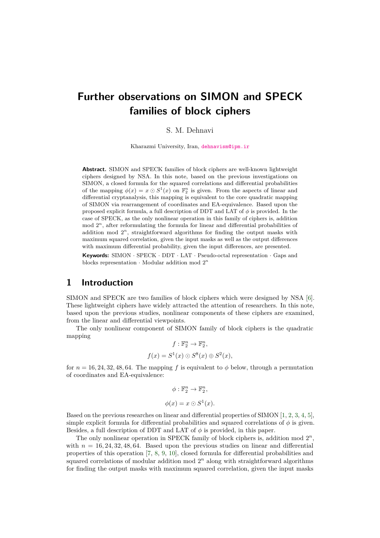# **Further observations on SIMON and SPECK families of block ciphers**

#### S. M. Dehnavi

Kharazmi University, Iran, [dehnavism@ipm.ir](mailto:dehnavism@ipm.ir)

**Abstract.** SIMON and SPECK families of block ciphers are well-known lightweight ciphers designed by NSA. In this note, based on the previous investigations on SIMON, a closed formula for the squared correlations and differential probabilities of the mapping  $\phi(x) = x \odot S^1(x)$  on  $\mathbb{F}_2^n$  is given. From the aspects of linear and differential cryptanalysis, this mapping is equivalent to the core quadratic mapping of SIMON via rearrangement of coordinates and EA-equivalence. Based upon the proposed explicit formula, a full description of DDT and LAT of *φ* is provided. In the case of SPECK, as the only nonlinear operation in this family of ciphers is, addition mod  $2^n$ , after reformulating the formula for linear and differential probabilities of addition mod  $2^n$ , straightforward algorithms for finding the output masks with maximum squared correlation, given the input masks as well as the output differences with maximum differential probability, given the input differences, are presented.

**Keywords:** SIMON · SPECK · DDT · LAT · Pseudo-octal representation · Gaps and blocks representation · Modular addition mod 2 *n*

#### **1 Introduction**

SIMON and SPECK are two families of block ciphers which were designed by NSA [\[6\]](#page-9-0). These lightweight ciphers have widely attracted the attention of researchers. In this note, based upon the previous studies, nonlinear components of these ciphers are examined, from the linear and differential viewpoints.

The only nonlinear component of SIMON family of block ciphers is the quadratic mapping

$$
f: \mathbb{F}_2^n \to \mathbb{F}_2^n,
$$
  

$$
f(x) = S^1(x) \odot S^8(x) \oplus S^2(x),
$$

for  $n = 16, 24, 32, 48, 64$ . The mapping f is equivalent to  $\phi$  below, through a permutation of coordinates and EA-equivalence:

$$
\phi: \mathbb{F}_2^n \to \mathbb{F}_2^n,
$$
  

$$
\phi(x) = x \odot S^1(x).
$$

Based on the previous researches on linear and differential properties of SIMON [\[1,](#page-9-1) [2,](#page-9-2) [3,](#page-9-3) [4,](#page-9-4) [5\]](#page-9-5), simple explicit formula for differential probabilities and squared correlations of  $\phi$  is given. Besides, a full description of DDT and LAT of *φ* is provided, in this paper.

The only nonlinear operation in SPECK family of block ciphers is, addition mod  $2^n$ , with  $n = 16, 24, 32, 48, 64$ . Based upon the previous studies on linear and differential properties of this operation [\[7,](#page-9-6) [8,](#page-9-7) [9,](#page-9-8) [10\]](#page-9-9), closed formula for differential probabilities and squared correlations of modular addition mod  $2<sup>n</sup>$  along with straightforward algorithms for finding the output masks with maximum squared correlation, given the input masks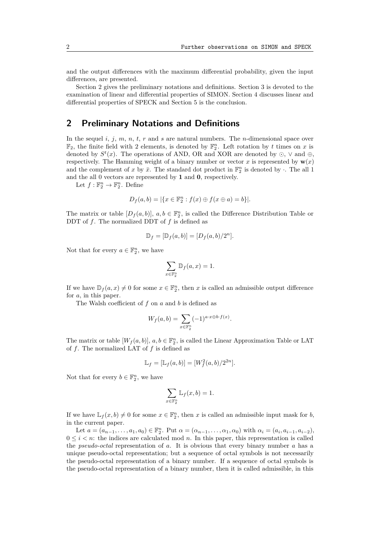and the output differences with the maximum differential probability, given the input differences, are presented.

Section 2 gives the preliminary notations and definitions. Section 3 is devoted to the examination of linear and differential properties of SIMON. Section 4 discusses linear and differential properties of SPECK and Section 5 is the conclusion.

# **2 Preliminary Notations and Definitions**

In the sequel *i*, *j*, *m*, *n*, *t*, *r* and *s* are natural numbers. The *n*-dimensional space over  $\mathbb{F}_2$ , the finite field with 2 elements, is denoted by  $\mathbb{F}_2^n$ . Left rotation by *t* times on *x* is denoted by  $S^t(x)$ . The operations of AND, OR and XOR are denoted by  $\odot$ ,  $\vee$  and  $\oplus$ , respectively. The Hamming weight of a binary number or vector  $x$  is represented by  $\mathbf{w}(x)$ and the complement of x by  $\bar{x}$ . The standard dot product in  $\mathbb{F}_2^n$  is denoted by  $\cdot$ . The all 1 and the all 0 vectors are represented by **1** and **0**, respectively.

Let  $f: \mathbb{F}_2^n \to \mathbb{F}_2^n$ . Define

$$
D_f(a, b) = |\{x \in \mathbb{F}_2^n : f(x) \oplus f(x \oplus a) = b\}|.
$$

The matrix or table  $[D_f(a, b)], a, b \in \mathbb{F}_2^n$ , is called the Difference Distribution Table or DDT of *f*. The normalized DDT of *f* is defined as

$$
\mathbb{D}_f = [\mathbb{D}_f(a, b)] = [D_f(a, b)/2^n].
$$

Not that for every  $a \in \mathbb{F}_2^n$ , we have

$$
\sum_{x \in \mathbb{F}_2^n} \mathbb{D}_f(a, x) = 1.
$$

If we have  $\mathbb{D}_f(a, x) \neq 0$  for some  $x \in \mathbb{F}_2^n$ , then *x* is called an admissible output difference for *a*, in this paper.

The Walsh coefficient of *f* on *a* and *b* is defined as

$$
W_f(a,b) = \sum_{x \in \mathbb{F}_2^n} (-1)^{a \cdot x \oplus b \cdot f(x)}.
$$

The matrix or table  $[W_f(a, b)], a, b \in \mathbb{F}_2^n$ , is called the Linear Approximation Table or LAT of *f*. The normalized LAT of *f* is defined as

$$
\mathbb{L}_f = [\mathbb{L}_f(a, b)] = [W_f^2(a, b)/2^{2n}].
$$

Not that for every  $b \in \mathbb{F}_2^n$ , we have

$$
\sum_{x \in \mathbb{F}_2^n} \mathbb{L}_f(x, b) = 1.
$$

If we have  $\mathbb{L}_f(x, b) \neq 0$  for some  $x \in \mathbb{F}_2^n$ , then *x* is called an admissible input mask for *b*, in the current paper.

Let  $a = (a_{n-1}, \ldots, a_1, a_0) \in \mathbb{F}_2^n$ . Put  $\alpha = (\alpha_{n-1}, \ldots, \alpha_1, \alpha_0)$  with  $\alpha_i = (a_i, a_{i-1}, a_{i-2})$ ,  $0 \leq i \leq n$ : the indices are calculated mod *n*. In this paper, this representation is called the *pseudo-octal* representation of *a*. It is obvious that every binary number *a* has a unique pseudo-octal representation; but a sequence of octal symbols is not necessarily the pseudo-octal representation of a binary number. If a sequence of octal symbols is the pseudo-octal representation of a binary number, then it is called admissible, in this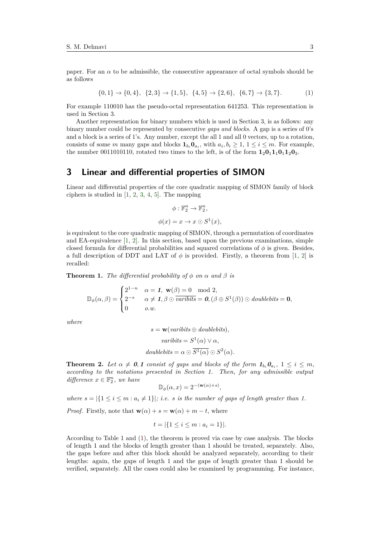paper. For an  $\alpha$  to be admissible, the consecutive appearance of octal symbols should be as follows

<span id="page-2-0"></span>
$$
\{0,1\} \to \{0,4\}, \ \{2,3\} \to \{1,5\}, \ \{4,5\} \to \{2,6\}, \ \{6,7\} \to \{3,7\}. \tag{1}
$$

For example 110010 has the pseudo-octal representation 641253. This representation is used in Section 3.

Another representation for binary numbers which is used in Section 3, is as follows: any binary number could be represented by consecutive *gaps and blocks*. A gap is a series of 0's and a block is a series of 1's. Any number, except the all 1 and all 0 vectors, up to a rotation, consists of some *m* many gaps and blocks  $\mathbf{1}_{b_i} \mathbf{0}_{a_i}$ , with  $a_i, b_i \geq 1, 1 \leq i \leq m$ . For example, the number 0011010110, rotated two times to the left, is of the form  $1_20_11_10_11_20_3$ .

#### **3 Linear and differential properties of SIMON**

Linear and differential properties of the core quadratic mapping of SIMON family of block ciphers is studied in  $[1, 2, 3, 4, 5]$  $[1, 2, 3, 4, 5]$  $[1, 2, 3, 4, 5]$  $[1, 2, 3, 4, 5]$  $[1, 2, 3, 4, 5]$  $[1, 2, 3, 4, 5]$  $[1, 2, 3, 4, 5]$  $[1, 2, 3, 4, 5]$  $[1, 2, 3, 4, 5]$ . The mapping

$$
\phi: \mathbb{F}_2^n \to \mathbb{F}_2^n,
$$
  

$$
\phi(x) = x \to x \odot S^1(x),
$$

is equivalent to the core quadratic mapping of SIMON, through a permutation of coordinates and EA-equivalence [\[1,](#page-9-1) [2\]](#page-9-2). In this section, based upon the previous examinations, simple closed formula for differential probabilities and squared correlations of  $\phi$  is given. Besides, a full description of DDT and LAT of  $\phi$  is provided. Firstly, a theorem from [\[1,](#page-9-1) [2\]](#page-9-2) is recalled:

**Theorem 1.** *The differential probability of*  $\phi$  *on*  $\alpha$  *and*  $\beta$  *is* 

$$
\mathbb{D}_{\phi}(\alpha,\beta) = \begin{cases} 2^{1-n} & \alpha = 1, \ \mathbf{w}(\beta) = 0 \mod 2, \\ 2^{-s} & \alpha \neq 1, \beta \odot \overline{variables} = 0, (\beta \oplus S^1(\beta)) \odot \text{doublebits} = 0, \\ 0 & o.w. \end{cases}
$$

*where*

$$
s = \mathbf{w}(variables \oplus doublebits),
$$
  

$$
variables = S^1(\alpha) \lor \alpha,
$$
  

$$
doublebits = \alpha \odot \overline{S^1(\alpha)} \odot S^2(\alpha).
$$

**Theorem 2.** Let  $\alpha \neq 0, 1$  consist of gaps and blocks of the form  $1_{b_i} 0_{a_i}$ ,  $1 \leq i \leq m$ , *according to the notations presented in Section 1. Then, for any admissible output*  $difference \ x \in \mathbb{F}_2^n$ , we have

$$
\mathbb{D}_{\phi}(\alpha, x) = 2^{-(\mathbf{w}(\alpha) + s)},
$$

*where*  $s = |\{1 \le i \le m : a_i \ne 1\}|$ ; *i.e. s is the number of gaps of length greater than 1.* 

*Proof.* Firstly, note that  $\mathbf{w}(\alpha) + s = \mathbf{w}(\alpha) + m - t$ , where

$$
t = |\{1 \le i \le m : a_i = 1\}|.
$$

According to Table 1 and [\(1\)](#page-2-0), the theorem is proved via case by case analysis. The blocks of length 1 and the blocks of length greater than 1 should be treated, separately. Also, the gaps before and after this block should be analyzed separately, according to their lengths: again, the gaps of length 1 and the gaps of length greater than 1 should be verified, separately. All the cases could also be examined by programming. For instance,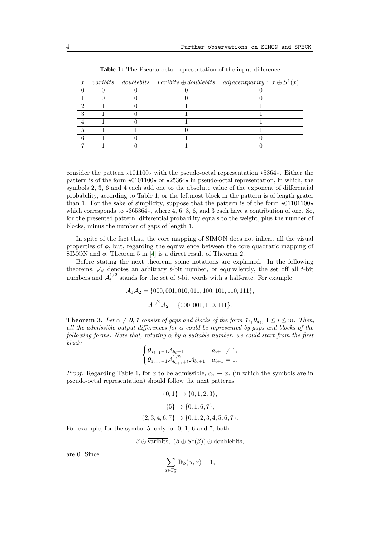|  |  | x varibits doublebits varibits $\oplus$ doublebits adjacent parity: $x \oplus S^1(x)$ |
|--|--|---------------------------------------------------------------------------------------|
|  |  |                                                                                       |
|  |  |                                                                                       |
|  |  |                                                                                       |
|  |  |                                                                                       |
|  |  |                                                                                       |
|  |  |                                                                                       |
|  |  |                                                                                       |
|  |  |                                                                                       |

**Table 1:** The Pseudo-octal representation of the input difference

consider the pattern  $\star$ 101100 $\star$  with the pseudo-octal representation  $\star$ 5364 $\star$ . Either the pattern is of the form  $\star$ 0101100 $\star$  or  $\star$ 25364 $\star$  in pseudo-octal representation, in which, the symbols 2, 3, 6 and 4 each add one to the absolute value of the exponent of differential probability, according to Table 1; or the leftmost block in the pattern is of length grater than 1. For the sake of simplicity, suppose that the pattern is of the form  $\star$ 01101100 $\star$ which corresponds to  $\star 365364\star$ , where 4, 6, 3, 6, and 3 each have a contribution of one. So, for the presented pattern, differential probability equals to the weight, plus the number of blocks, minus the number of gaps of length 1.  $\Box$ 

In spite of the fact that, the core mapping of SIMON does not inherit all the visual properties of  $\phi$ , but, regarding the equivalence between the core quadratic mapping of SIMON and  $\phi$ , Theorem 5 in [\[4\]](#page-9-4) is a direct result of Theorem 2.

Before stating the next theorem, some notations are explained. In the following theorems,  $A_t$  denotes an arbitrary *t*-bit number, or equivalently, the set off all *t*-bit numbers and  $A_t^{1/2}$  stands for the set of *t*-bit words with a half-rate. For example

$$
\mathcal{A}_1 \mathcal{A}_2 = \{000, 001, 010, 011, 100, 101, 110, 111\},
$$
  

$$
\mathcal{A}_1^{1/2} \mathcal{A}_2 = \{000, 001, 110, 111\}.
$$

**Theorem 3.** Let  $\alpha \neq 0, 1$  consist of gaps and blocks of the form  $\mathbf{1}_{b_i} \mathbf{0}_{a_i}$ ,  $1 \leq i \leq m$ *. Then, all the admissible output differences for α could be represented by gaps and blocks of the following forms. Note that, rotating α by a suitable number, we could start from the first block:*

$$
\begin{cases} \n0_{a_{i+1}-1} \mathcal{A}_{b_{i}+1} & a_{i+1} \neq 1, \\ \n0_{a_{i+2}-1} \mathcal{A}_{b_{i+1}+1}^{1/2} \mathcal{A}_{b_{i}+1} & a_{i+1} = 1.\n\end{cases}
$$

*Proof.* Regarding Table 1, for *x* to be admissible,  $\alpha_i \rightarrow x_i$  (in which the symbols are in pseudo-octal representation) should follow the next patterns

$$
\{0, 1\} \rightarrow \{0, 1, 2, 3\},
$$

$$
\{5\} \rightarrow \{0, 1, 6, 7\},
$$

$$
\{2, 3, 4, 6, 7\} \rightarrow \{0, 1, 2, 3, 4, 5, 6, 7\}.
$$

For example, for the symbol 5, only for 0, 1, 6 and 7, both

$$
\beta \odot \overline{\text{varibits}}, \ (\beta \oplus S^1(\beta)) \odot \text{doublebits},
$$

are 0. Since

$$
\sum_{x \in \mathbb{F}_2^n} \mathbb{D}_{\phi}(\alpha, x) = 1,
$$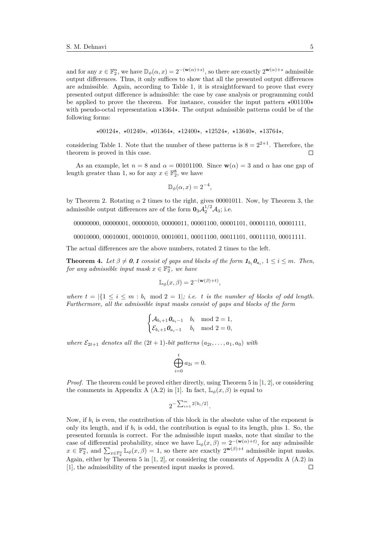and for any  $x \in \mathbb{F}_2^n$ , we have  $\mathbb{D}_{\phi}(\alpha, x) = 2^{-(\mathbf{w}(\alpha)+s)}$ , so there are exactly  $2^{\mathbf{w}(\alpha)+s}$  admissible output differences. Thus, it only suffices to show that all the presented output differences are admissible. Again, according to Table 1, it is straightforward to prove that every presented output difference is admissible: the case by case analysis or programming could be applied to prove the theorem. For instance, consider the input pattern  $\star 001100\star$ with pseudo-octal representation  $\star 1364\star$ . The output admissible patterns could be of the following forms:

$$
\star 00124\star
$$
,  $\star 01240\star$ ,  $\star 01364\star$ ,  $\star 12400\star$ ,  $\star 12524\star$ ,  $\star 13640\star$ ,  $\star 13764\star$ ,

considering Table 1. Note that the number of these patterns is  $8 = 2^{2+1}$ . Therefore, the theorem is proved in this case.  $\Box$ 

As an example, let  $n = 8$  and  $\alpha = 00101100$ . Since  $\mathbf{w}(\alpha) = 3$  and  $\alpha$  has one gap of length greater than 1, so for any  $x \in \mathbb{F}_2^8$ , we have

$$
\mathbb{D}_{\phi}(\alpha, x) = 2^{-4},
$$

by Theorem 2. Rotating  $\alpha$  2 times to the right, gives 00001011. Now, by Theorem 3, the admissible output differences are of the form  $\mathbf{0}_3 \mathcal{A}_2^{1/2} \mathcal{A}_3$ ; i.e.

00000000*,* 00000001*,* 00000010*,* 00000011*,* 00001100*,* 00001101*,* 00001110*,* 00001111*,*

00010000*,* 00010001*,* 00010010*,* 00010011*,* 00011100*,* 00011101*,* 00011110*,* 00011111*.*

The actual differences are the above numbers, rotated 2 times to the left.

**Theorem 4.** Let  $\beta \neq 0, 1$  consist of gaps and blocks of the form  $\mathbf{1}_{b_i} \mathbf{0}_{a_i}$ ,  $1 \leq i \leq m$ *. Then, for any admissible input mask*  $x \in \mathbb{F}_2^n$ *, we have* 

$$
\mathbb{L}_{\phi}(x,\beta) = 2^{-(\mathbf{w}(\beta)+t)},
$$

*where*  $t = |\{1 \le i \le m : b_i \mod 2 = 1|\}$ ; *i.e. t is the number of blocks of odd length. Furthermore, all the admissible input masks consist of gaps and blocks of the form*

$$
\begin{cases} \mathcal{A}_{b_i+1} \mathbf{0}_{a_i-1} & b_i \mod 2 = 1, \\ \mathcal{E}_{b_i+1} \mathbf{0}_{a_i-1} & b_i \mod 2 = 0, \end{cases}
$$

*where*  $\mathcal{E}_{2t+1}$  *denotes all the*  $(2t+1)$ *-bit patterns*  $(a_{2t},...,a_1,a_0)$  *with* 

$$
\bigoplus_{i=0}^t a_{2i} = 0.
$$

*Proof.* The theorem could be proved either directly, using Theorem 5 in [\[1,](#page-9-1) [2\]](#page-9-2), or considering the comments in Appendix A (A.2) in [\[1\]](#page-9-1). In fact,  $\mathbb{L}_{\phi}(x,\beta)$  is equal to

$$
2^{-\sum_{i=1}^m2\lceil b_i/2\rceil}.
$$

Now, if  $b_i$  is even, the contribution of this block in the absolute value of the exponent is only its length, and if  $b_i$  is odd, the contribution is equal to its length, plus 1. So, the presented formula is correct. For the admissible input masks, note that similar to the case of differential probability, since we have  $\mathbb{L}_{\phi}(x,\beta) = 2^{-(\mathbf{w}(\alpha)+t)}$ , for any admissible  $x \in \mathbb{F}_2^n$ , and  $\sum_{x \in \mathbb{F}_2^n} \mathbb{L}_{\phi}(x, \beta) = 1$ , so there are exactly  $2^{\mathbf{w}(\beta)+t}$  admissible input masks. Again, either by Theorem 5 in  $[1, 2]$  $[1, 2]$  $[1, 2]$ , or considering the comments of Appendix A  $(A.2)$  in [\[1\]](#page-9-1), the admissibility of the presented input masks is proved. $\Box$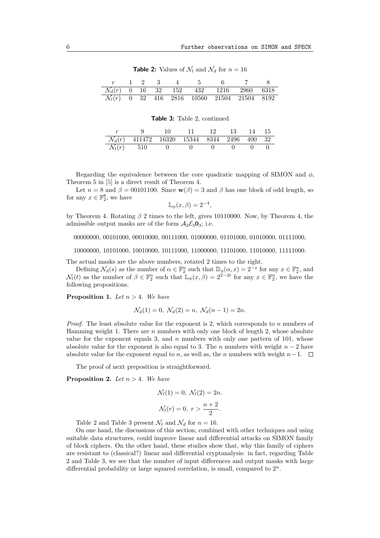**Table 2:** Values of  $\mathcal{N}_l$  and  $\mathcal{N}_d$  for  $n = 16$ 

| $\mathcal{N}_d(r)$ 0 16 32 152 432 1216 2960 6318 |  |  |                                                         |  |
|---------------------------------------------------|--|--|---------------------------------------------------------|--|
|                                                   |  |  | $\mathcal{N}_l(r)$ 0 32 416 2816 10560 21504 21504 8192 |  |

#### **Table 3:** Table 2, continued

|                                                        | - 11 - | - 12 | 13 14 15 |  |
|--------------------------------------------------------|--------|------|----------|--|
| $\mathcal{N}_d(r)$ 411472 16320 15344 8344 2496 400 32 |        |      |          |  |
| $\mathcal{N}_l(r)$ 510                                 |        |      |          |  |

Regarding the equivalence between the core quadratic mapping of SIMON and *φ*, Theorem 5 in [\[5\]](#page-9-5) is a direct result of Theorem 4.

Let  $n = 8$  and  $\beta = 00101100$ . Since  $\mathbf{w}(\beta) = 3$  and  $\beta$  has one block of odd length, so for any  $x \in \mathbb{F}_2^8$ , we have

$$
\mathbb{L}_{\phi}(x,\beta) = 2^{-4},
$$

by Theorem 4. Rotating *β* 2 times to the left, gives 10110000. Now, by Theorem 4, the admissible output masks are of the form  $A_2 \mathcal{E}_3 \mathbf{0}_3$ ; i.e.

00000000*,* 00101000*,* 00010000*,* 00111000*,* 01000000*,* 01101000*,* 01010000*,* 01111000*,*

10000000*,* 10101000*,* 10010000*,* 10111000*,* 11000000*,* 11101000*,* 11010000*,* 11111000*.*

The actual masks are the above numbers, rotated 2 times to the right.

Defining  $\mathcal{N}_d(s)$  as the number of  $\alpha \in \mathbb{F}_2^n$  such that  $\mathbb{D}_{\phi}(\alpha, x) = 2^{-s}$  for any  $x \in \mathbb{F}_2^n$ , and  $\mathcal{N}_l(t)$  as the number of  $\beta \in \mathbb{F}_2^n$  such that  $\mathbb{L}_{\phi}(x,\beta) = 2^{2-2t}$  for any  $x \in \mathbb{F}_2^n$ , we have the following propositions.

**Proposition 1.** *Let*  $n > 4$ *. We have* 

$$
\mathcal{N}_d(1) = 0, \ \mathcal{N}_d(2) = n, \ \mathcal{N}_d(n-1) = 2n.
$$

*Proof.* The least absolute value for the exponent is 2, which corresponds to *n* numbers of Hamming weight 1. There are *n* numbers with only one block of length 2, whose absolute value for the exponent equals 3, and *n* numbers with only one pattern of 101, whose absolute value for the exponent is also equal to 3. The *n* numbers with weight  $n-2$  have absolute value for the exponent equal to *n*, as well as, the *n* numbers with weight  $n-1$ .  $\Box$ 

The proof of next preposition is straightforward.

**Proposition 2.** *Let n >* 4*. We have*

$$
\mathcal{N}_l(1) = 0, \ \mathcal{N}_l(2) = 2n.
$$
  
 $\mathcal{N}_l(r) = 0, \ r > \frac{n+2}{2}.$ 

Table 2 and Table 3 present  $\mathcal{N}_l$  and  $\mathcal{N}_d$  for  $n = 16$ .

On one hand, the discussions of this section, combined with other techniques and using suitable data structures, could improve linear and differential attacks on SIMON family of block ciphers. On the other hand, these studies show that, why this family of ciphers are resistant to (classical?) linear and differential cryptanalysis: in fact, regarding Table 2 and Table 3, we see that the number of input differences and output masks with large differential probability or large squared correlation, is small, compared to 2 *n*.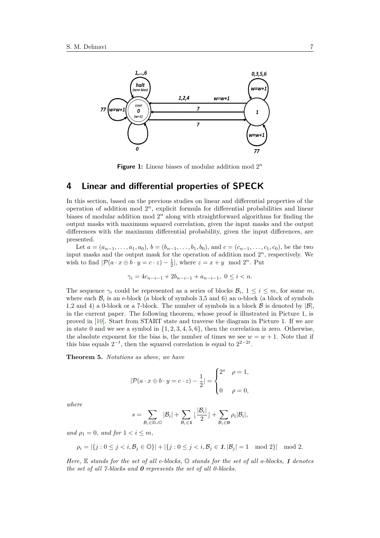

Figure 1: Linear biases of modular addition mod 2<sup>n</sup>

#### **4 Linear and differential properties of SPECK**

In this section, based on the previous studies on linear and differential properties of the operation of addition mod 2 *<sup>n</sup>*, explicit formula for differential probabilities and linear biases of modular addition mod  $2^n$  along with straightforward algorithms for finding the output masks with maximum squared correlation, given the input masks and the output differences with the maximum differential probability, given the input differences, are presented.

Let  $a = (a_{n-1}, \ldots, a_1, a_0), b = (b_{n-1}, \ldots, b_1, b_0)$ , and  $c = (c_{n-1}, \ldots, c_1, c_0)$ , be the two input masks and the output mask for the operation of addition mod  $2<sup>n</sup>$ , respectively. We wish to find  $|\mathcal{P}(a \cdot x \oplus b \cdot y = c \cdot z) - \frac{1}{2}|$ , where  $z = x + y \mod 2^n$ . Put

$$
\gamma_i = 4c_{n-i-1} + 2b_{n-i-1} + a_{n-i-1}, \ 0 \le i < n.
$$

The sequence  $\gamma_i$  could be represented as a series of blocks  $\mathcal{B}_i$ ,  $1 \leq i \leq m$ , for some *m*, where each  $\mathcal{B}_i$  is an e-block (a block of symbols 3,5 and 6) an o-block (a block of symbols 1,2 and 4) a 0-block or a 7-block. The number of symbols in a block  $\beta$  is denoted by  $|\beta|$ , in the current paper. The following theorem, whose proof is illustrated in Picture 1, is proved in [\[10\]](#page-9-9). Start from START state and traverse the diagram in Picture 1. If we are in state 0 and we see a symbol in  $\{1, 2, 3, 4, 5, 6\}$ , then the correlation iz zero. Otherwise, the absolute exponent for the bias is, the number of times we see  $w = w + 1$ . Note that if this bias equals  $2^{-t}$ , then the squared correlation is equal to  $2^{2-2t}$ .

**Theorem 5.** *Notations as above, we have*

$$
|\mathcal{P}(a \cdot x \oplus b \cdot y = c \cdot z) - \frac{1}{2}| = \begin{cases} 2^s & \rho = 1, \\ 0 & \rho = 0, \end{cases}
$$

*where*

$$
s = \sum_{\mathcal{B}_i \in \mathbb{E} \cup \mathbb{O}} |\mathcal{B}_i| + \sum_{\mathcal{B}_i \in \mathbf{1}} \lfloor \frac{|\mathcal{B}_i|}{2} \rfloor + \sum_{\mathcal{B}_i \in \mathbf{O}} \rho_i |\mathcal{B}_i|,
$$

*and*  $\rho_1 = 0$ *, and for*  $1 < i \leq m$ *,* 

$$
\rho_i = |\{j : 0 \le j < i, \mathcal{B}_j \in \mathbb{O}\}| + |\{j : 0 \le j < i, \mathcal{B}_j \in \mathcal{I}, |\mathcal{B}_j| = 1 \mod 2\}| \mod 2.
$$

*Here,* E *stands for the set of all e-blocks,* O *stands for the set of all o-blocks, 1 denotes the set of all 7-blocks and 0 represents the set of all 0-blocks.*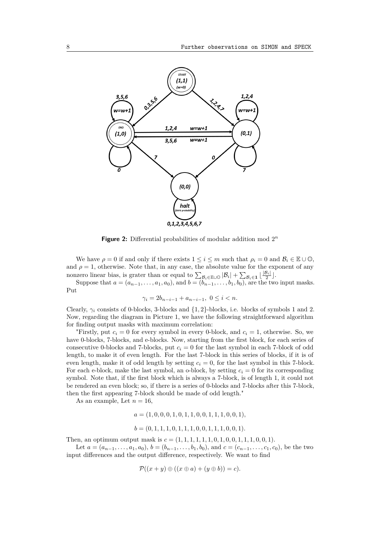

**Figure 2:** Differential probabilities of modular addition mod 2 *n*

We have  $\rho = 0$  if and only if there exists  $1 \leq i \leq m$  such that  $\rho_i = 0$  and  $\mathcal{B}_i \in \mathbb{E} \cup \mathbb{O}$ , and  $\rho = 1$ , otherwise. Note that, in any case, the absolute value for the exponent of any nonzero linear bias, is grater than or equal to  $\sum_{\mathcal{B}_i \in \mathbb{E} \cup \mathbb{O}} |\mathcal{B}_i| + \sum_{\mathcal{B}_i \in \mathbb{1}} \lfloor \frac{|\mathcal{B}_i|}{2} \rfloor$ .

Suppose that  $a = (a_{n-1}, \ldots, a_1, a_0)$ , and  $b = (b_{n-1}, \ldots, b_1, b_0)$ , are the two input masks. Put

$$
\gamma_i = 2b_{n-i-1} + a_{n-i-1}, \ 0 \le i < n.
$$

Clearly, *γ<sup>i</sup>* consists of 0-blocks, 3-blocks and {1*,* 2}-blocks, i.e. blocks of symbols 1 and 2. Now, regarding the diagram in Picture 1, we have the following straightforward algorithm for finding output masks with maximum correlation:

"Firstly, put  $c_i = 0$  for every symbol in every 0-block, and  $c_i = 1$ , otherwise. So, we have 0-blocks, 7-blocks, and e-blocks. Now, starting from the first block, for each series of consecutive 0-blocks and 7-blocks, put  $c_i = 0$  for the last symbol in each 7-block of odd length, to make it of even length. For the last 7-block in this series of blocks, if it is of even length, make it of odd length by setting  $c_i = 0$ , for the last symbol in this 7-block. For each e-block, make the last symbol, an o-block, by setting  $c_i = 0$  for its corresponding symbol. Note that, if the first block which is always a 7-block, is of length 1, it could not be rendered an even block; so, if there is a series of 0-blocks and 7-blocks after this 7-block, then the first appearing 7-block should be made of odd length."

As an example, Let  $n = 16$ ,

$$
a=(1,0,0,0,1,0,1,1,0,0,1,1,1,0,0,1),
$$

$$
b = (0, 1, 1, 1, 0, 1, 1, 1, 0, 0, 1, 1, 1, 0, 0, 1).
$$

Then, an optimum output mask is  $c = (1, 1, 1, 1, 1, 1, 0, 1, 0, 0, 1, 1, 1, 0, 0, 1)$ .

Let  $a = (a_{n-1}, \ldots, a_1, a_0), b = (b_{n-1}, \ldots, b_1, b_0),$  and  $c = (c_{n-1}, \ldots, c_1, c_0)$ , be the two input differences and the output difference, respectively. We want to find

$$
\mathcal{P}((x+y)\oplus((x\oplus a)+(y\oplus b))=c).
$$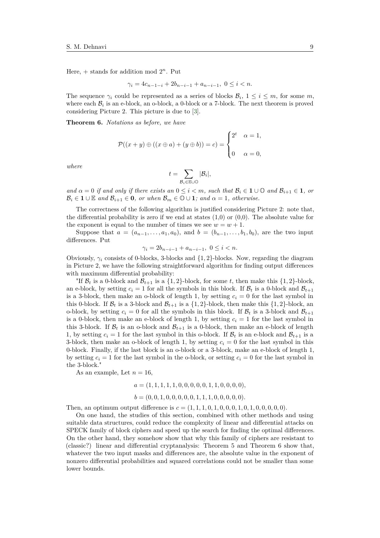Here,  $+$  stands for addition mod  $2^n$ . Put

$$
\gamma_i = 4c_{n-1-i} + 2b_{n-i-1} + a_{n-i-1}, \ 0 \le i < n.
$$

The sequence  $\gamma_i$  could be represented as a series of blocks  $\mathcal{B}_i$ ,  $1 \leq i \leq m$ , for some *m*, where each  $B_i$  is an e-block, an o-block, a 0-block or a 7-block. The next theorem is proved considering Picture 2. This picture is due to [\[3\]](#page-9-3).

**Theorem 6.** *Notations as before, we have*

$$
\mathcal{P}((x+y)\oplus((x\oplus a)+(y\oplus b))=c)=\begin{cases}2^t & \alpha=1,\\0 & \alpha=0,\end{cases}
$$

*where*

$$
t = \sum_{\mathcal{B}_i \in \mathbb{E} \cup \mathbb{O}} |\mathcal{B}_i|,
$$

*and*  $\alpha = 0$  *if and only if there exists an*  $0 \le i \le m$ *, such that*  $\mathcal{B}_i \in \mathbf{1} \cup \mathbb{O}$  *and*  $\mathcal{B}_{i+1} \in \mathbf{1}$ *, or*  $\mathcal{B}_i \in \mathbf{1} \cup \mathbb{E}$  and  $\mathcal{B}_{i+1} \in \mathbf{0}$ *, or when*  $\mathcal{B}_m \in \mathbb{O} \cup \mathbf{1}$ *; and*  $\alpha = 1$ *, otherwise.* 

The correctness of the following algorithm is justified considering Picture 2: note that, the differential probability is zero if we end at states  $(1,0)$  or  $(0,0)$ . The absolute value for the exponent is equal to the number of times we see  $w = w + 1$ .

Suppose that  $a = (a_{n-1},...,a_1,a_0)$ , and  $b = (b_{n-1},...,b_1,b_0)$ , are the two input differences. Put

$$
\gamma_i = 2b_{n-i-1} + a_{n-i-1}, \ 0 \le i < n.
$$

Obviously,  $\gamma_i$  consists of 0-blocks, 3-blocks and  $\{1,2\}$ -blocks. Now, regarding the diagram in Picture 2, we have the following straightforward algorithm for finding output differences with maximum differential probability:

"If  $\mathcal{B}_t$  is a 0-block and  $\mathcal{B}_{t+1}$  is a  $\{1,2\}$ -block, for some t, then make this  $\{1,2\}$ -block, an e-block, by setting  $c_i = 1$  for all the symbols in this block. If  $B_t$  is a 0-block and  $B_{t+1}$ is a 3-block, then make an o-block of length 1, by setting  $c_i = 0$  for the last symbol in this 0-block. If  $\mathcal{B}_t$  is a 3-block and  $\mathcal{B}_{t+1}$  is a {1, 2}-block, then make this {1, 2}-block, an o-block, by setting  $c_i = 0$  for all the symbols in this block. If  $\mathcal{B}_t$  is a 3-block and  $\mathcal{B}_{t+1}$ is a 0-block, then make an e-block of length 1, by setting  $c_i = 1$  for the last symbol in this 3-block. If  $\mathcal{B}_t$  is an o-block and  $\mathcal{B}_{t+1}$  is a 0-block, then make an e-block of length 1, by setting  $c_i = 1$  for the last symbol in this o-block. If  $\mathcal{B}_t$  is an e-block and  $\mathcal{B}_{t+1}$  is a 3-block, then make an o-block of length 1, by setting  $c_i = 0$  for the last symbol in this 0-block. Finally, if the last block is an o-block or a 3-block, make an e-block of length 1, by setting  $c_i = 1$  for the last symbol in the o-block, or setting  $c_i = 0$  for the last symbol in the 3-block."

As an example, Let  $n = 16$ .

$$
a=(1,1,1,1,1,0,0,0,0,0,1,1,0,0,0,0),
$$

$$
b = (0, 0, 1, 0, 0, 0, 0, 0, 1, 1, 1, 0, 0, 0, 0, 0).
$$

Then, an optimum output difference is  $c = (1, 1, 1, 0, 1, 0, 0, 0, 1, 0, 1, 0, 0, 0, 0, 0)$ .

On one hand, the studies of this section, combined with other methods and using suitable data structures, could reduce the complexity of linear and differential attacks on SPECK family of block ciphers and speed up the search for finding the optimal differences. On the other hand, they somehow show that why this family of ciphers are resistant to (classic?) linear and differential cryptanalysis: Theorem 5 and Theorem 6 show that, whatever the two input masks and differences are, the absolute value in the exponent of nonzero differential probabilities and squared correlations could not be smaller than some lower bounds.